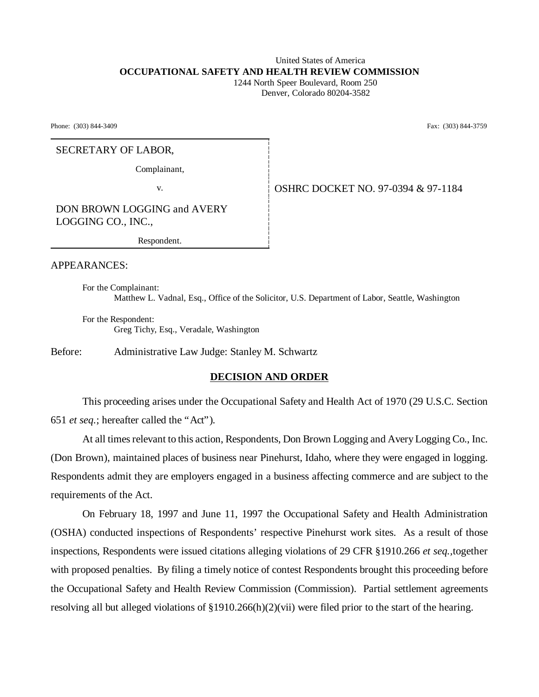### United States of America **OCCUPATIONAL SAFETY AND HEALTH REVIEW COMMISSION** 1244 North Speer Boulevard, Room 250

Denver, Colorado 80204-3582

Phone: (303) 844-3409 Fax: (303) 844-3759

### SECRETARY OF LABOR,

Complainant,

v. Same Strategy & 0SHRC DOCKET NO. 97-0394 & 97-1184

DON BROWN LOGGING and AVERY LOGGING CO., INC.,

Respondent.

APPEARANCES:

For the Complainant: Matthew L. Vadnal, Esq., Office of the Solicitor, U.S. Department of Labor, Seattle, Washington

For the Respondent: Greg Tichy, Esq., Veradale, Washington

Before: Administrative Law Judge: Stanley M. Schwartz

## **DECISION AND ORDER**

This proceeding arises under the Occupational Safety and Health Act of 1970 (29 U.S.C. Section 651 *et seq.*; hereafter called the "Act").

At all times relevant to this action, Respondents, Don Brown Logging and Avery Logging Co., Inc. (Don Brown), maintained places of business near Pinehurst, Idaho, where they were engaged in logging. Respondents admit they are employers engaged in a business affecting commerce and are subject to the requirements of the Act.

On February 18, 1997 and June 11, 1997 the Occupational Safety and Health Administration (OSHA) conducted inspections of Respondents' respective Pinehurst work sites. As a result of those inspections, Respondents were issued citations alleging violations of 29 CFR §1910.266 *et seq.,*together with proposed penalties. By filing a timely notice of contest Respondents brought this proceeding before the Occupational Safety and Health Review Commission (Commission). Partial settlement agreements resolving all but alleged violations of §1910.266(h)(2)(vii) were filed prior to the start of the hearing.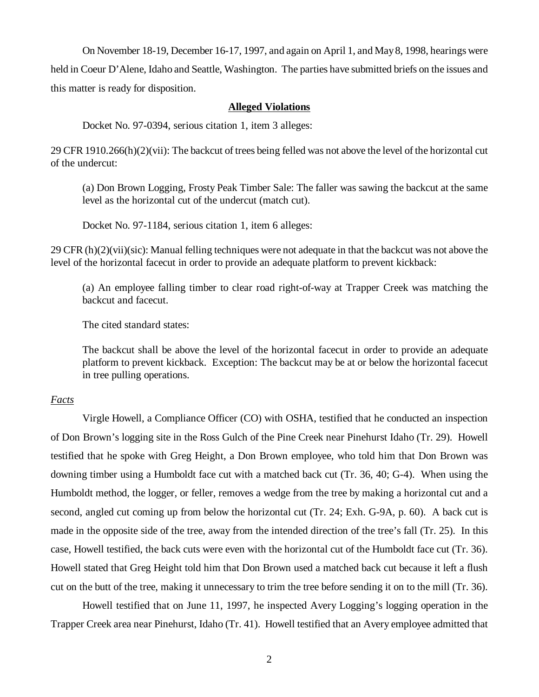On November 18-19, December 16-17, 1997, and again on April 1, and May 8, 1998, hearings were held in Coeur D'Alene, Idaho and Seattle, Washington. The parties have submitted briefs on the issues and this matter is ready for disposition.

# **Alleged Violations**

Docket No. 97-0394, serious citation 1, item 3 alleges:

29 CFR 1910.266(h)(2)(vii): The backcut of trees being felled was not above the level of the horizontal cut of the undercut:

(a) Don Brown Logging, Frosty Peak Timber Sale: The faller was sawing the backcut at the same level as the horizontal cut of the undercut (match cut).

Docket No. 97-1184, serious citation 1, item 6 alleges:

 $29$  CFR (h)(2)(vii)(sic): Manual felling techniques were not adequate in that the backcut was not above the level of the horizontal facecut in order to provide an adequate platform to prevent kickback:

(a) An employee falling timber to clear road right-of-way at Trapper Creek was matching the backcut and facecut.

The cited standard states:

The backcut shall be above the level of the horizontal facecut in order to provide an adequate platform to prevent kickback. Exception: The backcut may be at or below the horizontal facecut in tree pulling operations.

## *Facts*

Virgle Howell, a Compliance Officer (CO) with OSHA, testified that he conducted an inspection of Don Brown's logging site in the Ross Gulch of the Pine Creek near Pinehurst Idaho (Tr. 29). Howell testified that he spoke with Greg Height, a Don Brown employee, who told him that Don Brown was downing timber using a Humboldt face cut with a matched back cut (Tr. 36, 40; G-4). When using the Humboldt method, the logger, or feller, removes a wedge from the tree by making a horizontal cut and a second, angled cut coming up from below the horizontal cut (Tr. 24; Exh. G-9A, p. 60). A back cut is made in the opposite side of the tree, away from the intended direction of the tree's fall (Tr. 25). In this case, Howell testified, the back cuts were even with the horizontal cut of the Humboldt face cut (Tr. 36). Howell stated that Greg Height told him that Don Brown used a matched back cut because it left a flush cut on the butt of the tree, making it unnecessary to trim the tree before sending it on to the mill (Tr. 36).

Howell testified that on June 11, 1997, he inspected Avery Logging's logging operation in the Trapper Creek area near Pinehurst, Idaho (Tr. 41). Howell testified that an Avery employee admitted that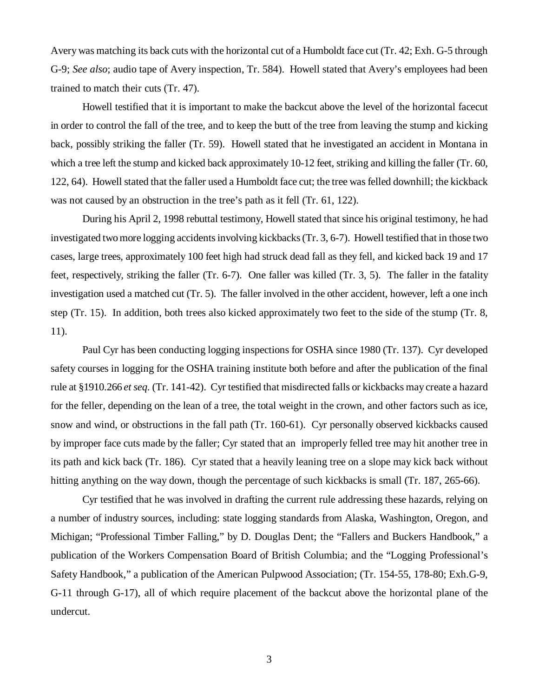Avery was matching its back cuts with the horizontal cut of a Humboldt face cut (Tr. 42; Exh. G-5 through G-9; *See also*; audio tape of Avery inspection, Tr. 584). Howell stated that Avery's employees had been trained to match their cuts (Tr. 47).

Howell testified that it is important to make the backcut above the level of the horizontal facecut in order to control the fall of the tree, and to keep the butt of the tree from leaving the stump and kicking back, possibly striking the faller (Tr. 59). Howell stated that he investigated an accident in Montana in which a tree left the stump and kicked back approximately 10-12 feet, striking and killing the faller (Tr. 60, 122, 64). Howell stated that the faller used a Humboldt face cut; the tree was felled downhill; the kickback was not caused by an obstruction in the tree's path as it fell (Tr. 61, 122).

During his April 2, 1998 rebuttal testimony, Howell stated that since his original testimony, he had investigated two more logging accidents involving kickbacks (Tr. 3, 6-7). Howell testified that in those two cases, large trees, approximately 100 feet high had struck dead fall as they fell, and kicked back 19 and 17 feet, respectively, striking the faller (Tr. 6-7). One faller was killed (Tr. 3, 5). The faller in the fatality investigation used a matched cut (Tr. 5). The faller involved in the other accident, however, left a one inch step (Tr. 15). In addition, both trees also kicked approximately two feet to the side of the stump (Tr. 8, 11).

Paul Cyr has been conducting logging inspections for OSHA since 1980 (Tr. 137). Cyr developed safety courses in logging for the OSHA training institute both before and after the publication of the final rule at §1910.266 *et seq.* (Tr. 141-42). Cyr testified that misdirected falls or kickbacks may create a hazard for the feller, depending on the lean of a tree, the total weight in the crown, and other factors such as ice, snow and wind, or obstructions in the fall path (Tr. 160-61). Cyr personally observed kickbacks caused by improper face cuts made by the faller; Cyr stated that an improperly felled tree may hit another tree in its path and kick back (Tr. 186). Cyr stated that a heavily leaning tree on a slope may kick back without hitting anything on the way down, though the percentage of such kickbacks is small (Tr. 187, 265-66).

Cyr testified that he was involved in drafting the current rule addressing these hazards, relying on a number of industry sources, including: state logging standards from Alaska, Washington, Oregon, and Michigan; "Professional Timber Falling," by D. Douglas Dent; the "Fallers and Buckers Handbook," a publication of the Workers Compensation Board of British Columbia; and the "Logging Professional's Safety Handbook," a publication of the American Pulpwood Association; (Tr. 154-55, 178-80; Exh.G-9, G-11 through G-17), all of which require placement of the backcut above the horizontal plane of the undercut.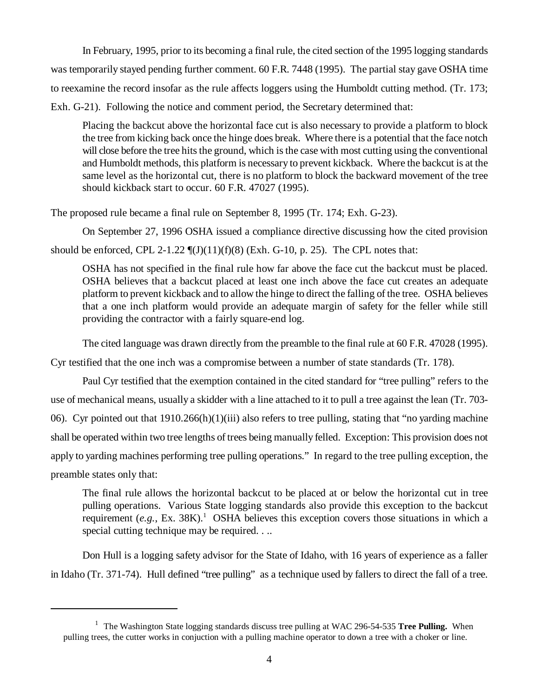In February, 1995, prior to its becoming a final rule, the cited section of the 1995 logging standards was temporarily stayed pending further comment. 60 F.R. 7448 (1995). The partial stay gave OSHA time to reexamine the record insofar as the rule affects loggers using the Humboldt cutting method. (Tr. 173; Exh. G-21). Following the notice and comment period, the Secretary determined that:

Placing the backcut above the horizontal face cut is also necessary to provide a platform to block the tree from kicking back once the hinge does break. Where there is a potential that the face notch will close before the tree hits the ground, which is the case with most cutting using the conventional and Humboldt methods, this platform is necessary to prevent kickback. Where the backcut is at the same level as the horizontal cut, there is no platform to block the backward movement of the tree should kickback start to occur. 60 F.R. 47027 (1995).

The proposed rule became a final rule on September 8, 1995 (Tr. 174; Exh. G-23).

On September 27, 1996 OSHA issued a compliance directive discussing how the cited provision should be enforced, CPL 2-1.22  $\P(J)(11)(f)(8)$  (Exh. G-10, p. 25). The CPL notes that:

OSHA has not specified in the final rule how far above the face cut the backcut must be placed. OSHA believes that a backcut placed at least one inch above the face cut creates an adequate platform to prevent kickback and to allow the hinge to direct the falling of the tree. OSHA believes that a one inch platform would provide an adequate margin of safety for the feller while still providing the contractor with a fairly square-end log.

The cited language was drawn directly from the preamble to the final rule at 60 F.R. 47028 (1995).

Cyr testified that the one inch was a compromise between a number of state standards (Tr. 178).

 Paul Cyr testified that the exemption contained in the cited standard for "tree pulling" refers to the use of mechanical means, usually a skidder with a line attached to it to pull a tree against the lean (Tr. 703- 06). Cyr pointed out that  $1910.266(h)(1)(iii)$  also refers to tree pulling, stating that "no yarding machine" shall be operated within two tree lengths of trees being manually felled. Exception: This provision does not apply to yarding machines performing tree pulling operations." In regard to the tree pulling exception, the preamble states only that:

The final rule allows the horizontal backcut to be placed at or below the horizontal cut in tree pulling operations. Various State logging standards also provide this exception to the backcut requirement  $(e.g., \text{ Ex. } 38\text{K})$ .<sup>1</sup> OSHA believes this exception covers those situations in which a special cutting technique may be required. . ..

Don Hull is a logging safety advisor for the State of Idaho, with 16 years of experience as a faller in Idaho (Tr. 371-74). Hull defined "tree pulling" as a technique used by fallers to direct the fall of a tree.

<sup>&</sup>lt;sup>1</sup> The Washington State logging standards discuss tree pulling at WAC 296-54-535 Tree Pulling. When pulling trees, the cutter works in conjuction with a pulling machine operator to down a tree with a choker or line.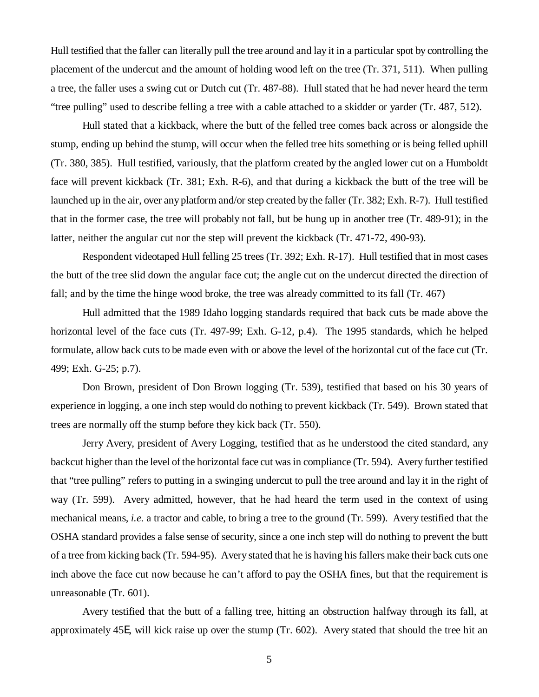Hull testified that the faller can literally pull the tree around and lay it in a particular spot by controlling the placement of the undercut and the amount of holding wood left on the tree (Tr. 371, 511). When pulling a tree, the faller uses a swing cut or Dutch cut (Tr. 487-88). Hull stated that he had never heard the term "tree pulling" used to describe felling a tree with a cable attached to a skidder or yarder (Tr. 487, 512).

Hull stated that a kickback, where the butt of the felled tree comes back across or alongside the stump, ending up behind the stump, will occur when the felled tree hits something or is being felled uphill (Tr. 380, 385). Hull testified, variously, that the platform created by the angled lower cut on a Humboldt face will prevent kickback (Tr. 381; Exh. R-6), and that during a kickback the butt of the tree will be launched up in the air, over any platform and/or step created by the faller (Tr. 382; Exh. R-7). Hull testified that in the former case, the tree will probably not fall, but be hung up in another tree (Tr. 489-91); in the latter, neither the angular cut nor the step will prevent the kickback (Tr. 471-72, 490-93).

Respondent videotaped Hull felling 25 trees (Tr. 392; Exh. R-17). Hull testified that in most cases the butt of the tree slid down the angular face cut; the angle cut on the undercut directed the direction of fall; and by the time the hinge wood broke, the tree was already committed to its fall (Tr. 467)

Hull admitted that the 1989 Idaho logging standards required that back cuts be made above the horizontal level of the face cuts (Tr. 497-99; Exh. G-12, p.4). The 1995 standards, which he helped formulate, allow back cuts to be made even with or above the level of the horizontal cut of the face cut (Tr. 499; Exh. G-25; p.7).

Don Brown, president of Don Brown logging (Tr. 539), testified that based on his 30 years of experience in logging, a one inch step would do nothing to prevent kickback (Tr. 549). Brown stated that trees are normally off the stump before they kick back (Tr. 550).

Jerry Avery, president of Avery Logging, testified that as he understood the cited standard, any backcut higher than the level of the horizontal face cut was in compliance (Tr. 594). Avery further testified that "tree pulling" refers to putting in a swinging undercut to pull the tree around and lay it in the right of way (Tr. 599). Avery admitted, however, that he had heard the term used in the context of using mechanical means, *i.e.* a tractor and cable, to bring a tree to the ground (Tr. 599). Avery testified that the OSHA standard provides a false sense of security, since a one inch step will do nothing to prevent the butt of a tree from kicking back (Tr. 594-95). Avery stated that he is having his fallers make their back cuts one inch above the face cut now because he can't afford to pay the OSHA fines, but that the requirement is unreasonable (Tr. 601).

Avery testified that the butt of a falling tree, hitting an obstruction halfway through its fall, at approximately 45E, will kick raise up over the stump (Tr. 602). Avery stated that should the tree hit an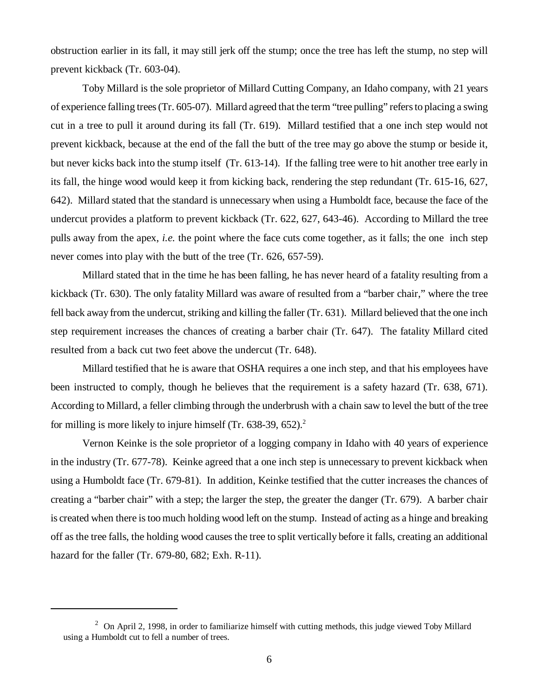obstruction earlier in its fall, it may still jerk off the stump; once the tree has left the stump, no step will prevent kickback (Tr. 603-04).

Toby Millard is the sole proprietor of Millard Cutting Company, an Idaho company, with 21 years of experience falling trees (Tr. 605-07). Millard agreed that the term "tree pulling" refers to placing a swing cut in a tree to pull it around during its fall (Tr. 619). Millard testified that a one inch step would not prevent kickback, because at the end of the fall the butt of the tree may go above the stump or beside it, but never kicks back into the stump itself (Tr. 613-14). If the falling tree were to hit another tree early in its fall, the hinge wood would keep it from kicking back, rendering the step redundant (Tr. 615-16, 627, 642). Millard stated that the standard is unnecessary when using a Humboldt face, because the face of the undercut provides a platform to prevent kickback (Tr. 622, 627, 643-46). According to Millard the tree pulls away from the apex, *i.e.* the point where the face cuts come together, as it falls; the one inch step never comes into play with the butt of the tree (Tr. 626, 657-59).

Millard stated that in the time he has been falling, he has never heard of a fatality resulting from a kickback (Tr. 630). The only fatality Millard was aware of resulted from a "barber chair," where the tree fell back away from the undercut, striking and killing the faller (Tr. 631). Millard believed that the one inch step requirement increases the chances of creating a barber chair (Tr. 647). The fatality Millard cited resulted from a back cut two feet above the undercut (Tr. 648).

Millard testified that he is aware that OSHA requires a one inch step, and that his employees have been instructed to comply, though he believes that the requirement is a safety hazard (Tr. 638, 671). According to Millard, a feller climbing through the underbrush with a chain saw to level the butt of the tree for milling is more likely to injure himself (Tr.  $638-39$ ,  $652$ ).<sup>2</sup>

Vernon Keinke is the sole proprietor of a logging company in Idaho with 40 years of experience in the industry (Tr. 677-78). Keinke agreed that a one inch step is unnecessary to prevent kickback when using a Humboldt face (Tr. 679-81). In addition, Keinke testified that the cutter increases the chances of creating a "barber chair" with a step; the larger the step, the greater the danger (Tr. 679). A barber chair is created when there is too much holding wood left on the stump. Instead of acting as a hinge and breaking off as the tree falls, the holding wood causes the tree to split vertically before it falls, creating an additional hazard for the faller (Tr. 679-80, 682; Exh. R-11).

<sup>&</sup>lt;sup>2</sup> On April 2, 1998, in order to familiarize himself with cutting methods, this judge viewed Toby Millard using a Humboldt cut to fell a number of trees.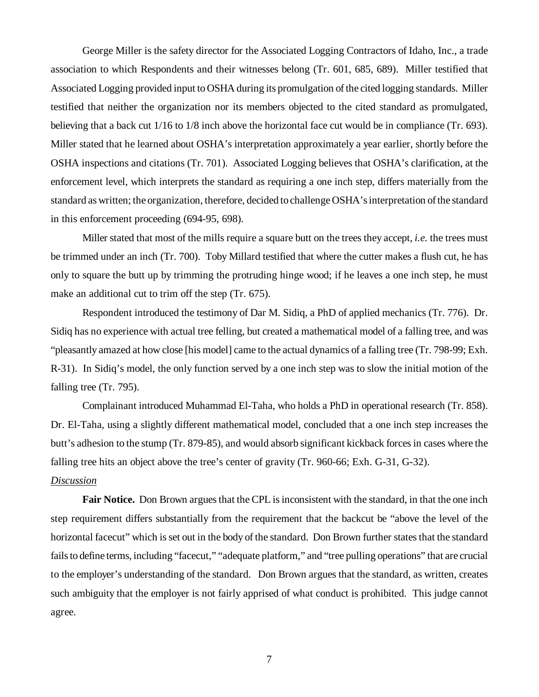George Miller is the safety director for the Associated Logging Contractors of Idaho, Inc., a trade association to which Respondents and their witnesses belong (Tr. 601, 685, 689). Miller testified that Associated Logging provided input to OSHA during its promulgation of the cited logging standards. Miller testified that neither the organization nor its members objected to the cited standard as promulgated, believing that a back cut 1/16 to 1/8 inch above the horizontal face cut would be in compliance (Tr. 693). Miller stated that he learned about OSHA's interpretation approximately a year earlier, shortly before the OSHA inspections and citations (Tr. 701). Associated Logging believes that OSHA's clarification, at the enforcement level, which interprets the standard as requiring a one inch step, differs materially from the standard as written; the organization, therefore, decided to challenge OSHA's interpretation of the standard in this enforcement proceeding (694-95, 698).

Miller stated that most of the mills require a square butt on the trees they accept, *i.e.* the trees must be trimmed under an inch (Tr. 700). Toby Millard testified that where the cutter makes a flush cut, he has only to square the butt up by trimming the protruding hinge wood; if he leaves a one inch step, he must make an additional cut to trim off the step (Tr. 675).

Respondent introduced the testimony of Dar M. Sidiq, a PhD of applied mechanics (Tr. 776). Dr. Sidiq has no experience with actual tree felling, but created a mathematical model of a falling tree, and was "pleasantly amazed at how close [his model] came to the actual dynamics of a falling tree (Tr. 798-99; Exh. R-31). In Sidiq's model, the only function served by a one inch step was to slow the initial motion of the falling tree (Tr. 795).

Complainant introduced Muhammad El-Taha, who holds a PhD in operational research (Tr. 858). Dr. El-Taha, using a slightly different mathematical model, concluded that a one inch step increases the butt's adhesion to the stump (Tr. 879-85), and would absorb significant kickback forces in cases where the falling tree hits an object above the tree's center of gravity (Tr. 960-66; Exh. G-31, G-32).

#### *Discussion*

**Fair Notice.** Don Brown argues that the CPL is inconsistent with the standard, in that the one inch step requirement differs substantially from the requirement that the backcut be "above the level of the horizontal facecut" which is set out in the body of the standard. Don Brown further states that the standard fails to define terms, including "facecut," "adequate platform," and "tree pulling operations" that are crucial to the employer's understanding of the standard. Don Brown argues that the standard, as written, creates such ambiguity that the employer is not fairly apprised of what conduct is prohibited. This judge cannot agree.

7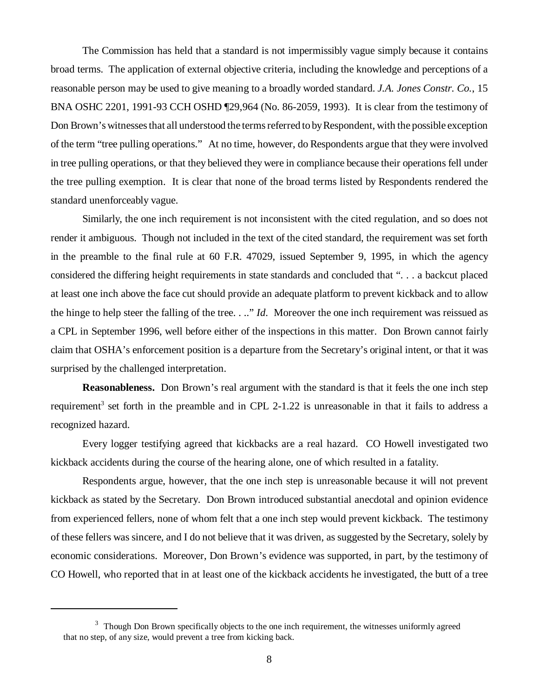The Commission has held that a standard is not impermissibly vague simply because it contains broad terms. The application of external objective criteria, including the knowledge and perceptions of a reasonable person may be used to give meaning to a broadly worded standard. *J.A. Jones Constr. Co.*, 15 BNA OSHC 2201, 1991-93 CCH OSHD ¶29,964 (No. 86-2059, 1993). It is clear from the testimony of Don Brown's witnesses that all understood the terms referred to by Respondent, with the possible exception of the term "tree pulling operations." At no time, however, do Respondents argue that they were involved in tree pulling operations, or that they believed they were in compliance because their operations fell under the tree pulling exemption. It is clear that none of the broad terms listed by Respondents rendered the standard unenforceably vague.

Similarly, the one inch requirement is not inconsistent with the cited regulation, and so does not render it ambiguous. Though not included in the text of the cited standard, the requirement was set forth in the preamble to the final rule at 60 F.R. 47029, issued September 9, 1995, in which the agency considered the differing height requirements in state standards and concluded that ". . . a backcut placed at least one inch above the face cut should provide an adequate platform to prevent kickback and to allow the hinge to help steer the falling of the tree. . .." *Id*. Moreover the one inch requirement was reissued as a CPL in September 1996, well before either of the inspections in this matter. Don Brown cannot fairly claim that OSHA's enforcement position is a departure from the Secretary's original intent, or that it was surprised by the challenged interpretation.

**Reasonableness.** Don Brown's real argument with the standard is that it feels the one inch step requirement<sup>3</sup> set forth in the preamble and in CPL 2-1.22 is unreasonable in that it fails to address a recognized hazard.

Every logger testifying agreed that kickbacks are a real hazard. CO Howell investigated two kickback accidents during the course of the hearing alone, one of which resulted in a fatality.

Respondents argue, however, that the one inch step is unreasonable because it will not prevent kickback as stated by the Secretary. Don Brown introduced substantial anecdotal and opinion evidence from experienced fellers, none of whom felt that a one inch step would prevent kickback. The testimony of these fellers was sincere, and I do not believe that it was driven, as suggested by the Secretary, solely by economic considerations. Moreover, Don Brown's evidence was supported, in part, by the testimony of CO Howell, who reported that in at least one of the kickback accidents he investigated, the butt of a tree

 $3$  Though Don Brown specifically objects to the one inch requirement, the witnesses uniformly agreed that no step, of any size, would prevent a tree from kicking back.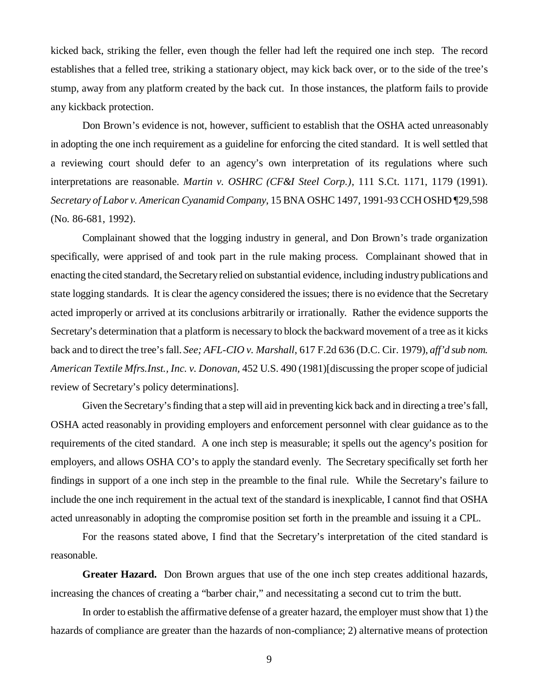kicked back, striking the feller, even though the feller had left the required one inch step. The record establishes that a felled tree, striking a stationary object, may kick back over, or to the side of the tree's stump, away from any platform created by the back cut. In those instances, the platform fails to provide any kickback protection.

Don Brown's evidence is not, however, sufficient to establish that the OSHA acted unreasonably in adopting the one inch requirement as a guideline for enforcing the cited standard. It is well settled that a reviewing court should defer to an agency's own interpretation of its regulations where such interpretations are reasonable. *Martin v. OSHRC (CF&I Steel Corp.)*, 111 S.Ct. 1171, 1179 (1991). *Secretary of Labor v. American Cyanamid Company*, 15 BNA OSHC 1497, 1991-93 CCH OSHD ¶29,598 (No. 86-681, 1992).

Complainant showed that the logging industry in general, and Don Brown's trade organization specifically, were apprised of and took part in the rule making process. Complainant showed that in enacting the cited standard, the Secretary relied on substantial evidence, including industry publications and state logging standards. It is clear the agency considered the issues; there is no evidence that the Secretary acted improperly or arrived at its conclusions arbitrarily or irrationally. Rather the evidence supports the Secretary's determination that a platform is necessary to block the backward movement of a tree as it kicks back and to direct the tree's fall. *See; AFL-CIO v. Marshall*, 617 F.2d 636 (D.C. Cir. 1979), *aff'd sub nom. American Textile Mfrs.Inst., Inc. v. Donovan,* 452 U.S. 490 (1981)[discussing the proper scope of judicial review of Secretary's policy determinations].

Given the Secretary's finding that a step will aid in preventing kick back and in directing a tree's fall, OSHA acted reasonably in providing employers and enforcement personnel with clear guidance as to the requirements of the cited standard. A one inch step is measurable; it spells out the agency's position for employers, and allows OSHA CO's to apply the standard evenly. The Secretary specifically set forth her findings in support of a one inch step in the preamble to the final rule. While the Secretary's failure to include the one inch requirement in the actual text of the standard is inexplicable, I cannot find that OSHA acted unreasonably in adopting the compromise position set forth in the preamble and issuing it a CPL.

For the reasons stated above, I find that the Secretary's interpretation of the cited standard is reasonable.

**Greater Hazard.** Don Brown argues that use of the one inch step creates additional hazards, increasing the chances of creating a "barber chair," and necessitating a second cut to trim the butt.

In order to establish the affirmative defense of a greater hazard, the employer must show that 1) the hazards of compliance are greater than the hazards of non-compliance; 2) alternative means of protection